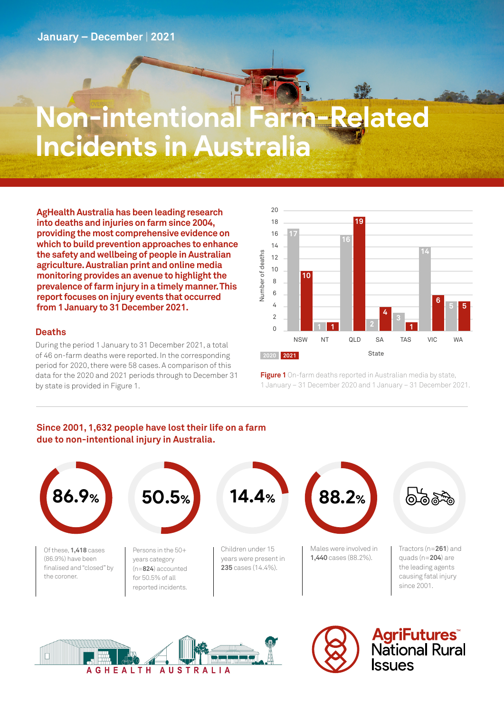# **Non-intentional Farm-Related Incidents in Australia**

**AgHealth Australia has been leading research into deaths and injuries on farm since 2004, providing the most comprehensive evidence on which to build prevention approaches to enhance the safety and wellbeing of people in Australian agriculture. Australian print and online media monitoring provides an avenue to highlight the prevalence of farm injury in a timely manner. This report focuses on injury events that occurred from 1 January to 31 December 2021.**

### **Deaths**

During the period 1 January to 31 December 2021, a total of 46 on-farm deaths were reported. In the corresponding period for 2020, there were 58 cases. A comparison of this data for the 2020 and 2021 periods through to December 31 by state is provided in Figure 1.



**Figure 1** On-farm deaths reported in Australian media by state, 1 January – 31 December 2020 and 1 January – 31 December 2021.

## **Since 2001, 1,632 people have lost their life on a farm due to non-intentional injury in Australia.**







**AgriFutures**<br>National Rural **SSUES**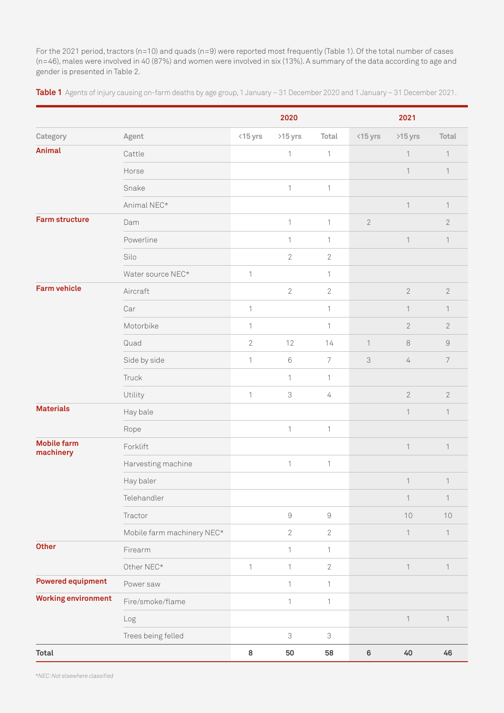For the 2021 period, tractors (n=10) and quads (n=9) were reported most frequently (Table 1). Of the total number of cases (n=46), males were involved in 40 (87%) and women were involved in six (13%). A summary of the data according to age and gender is presented in Table 2.

**Table 1** Agents of injury causing on-farm deaths by age group, 1 January – 31 December 2020 and 1 January – 31 December 2021.

|                                 |                            |                | 2020                       |                            |                | 2021                      |                |
|---------------------------------|----------------------------|----------------|----------------------------|----------------------------|----------------|---------------------------|----------------|
| Category                        | Agent                      | <15 yrs        | >15 yrs                    | Total                      | $<$ 15 yrs     | >15 yrs                   | Total          |
| <b>Animal</b>                   | Cattle                     |                | $\mathbf 1$                | $\mathbf{1}$               |                | $\mathbf{1}$              | 1              |
|                                 | Horse                      |                |                            |                            |                | $\mathbf{1}$              | $\mathbf{1}$   |
|                                 | Snake                      |                | $\mathbf 1$                | $\mathbf 1$                |                |                           |                |
|                                 | Animal NEC*                |                |                            |                            |                | $\mathbf 1$               | $\mathbf{1}$   |
| <b>Farm structure</b>           | Dam                        |                | $\mathbf{1}$               | $\mathbf{1}$               | $\overline{2}$ |                           | $\mathbf{2}$   |
|                                 | Powerline                  |                | 1                          | 1                          |                | $\mathbf{1}$              | $\overline{1}$ |
|                                 | Silo                       |                | $\overline{2}$             | $\sqrt{2}$                 |                |                           |                |
|                                 | Water source NEC*          | 1              |                            | 1                          |                |                           |                |
| <b>Farm vehicle</b>             | Aircraft                   |                | $\overline{2}$             | $\mathbf{2}$               |                | $\mathbf{2}$              | $\sqrt{2}$     |
|                                 | Car                        | $\mathbf 1$    |                            | $\mathbf{1}$               |                | $\mathbf{1}$              | $\mathbf{1}$   |
|                                 | Motorbike                  | 1              |                            | 1                          |                | $\mathbf{2}$              | $\overline{2}$ |
|                                 | Quad                       | $\overline{2}$ | 12                         | 14                         | $\mathbf{1}$   | $\,8\,$                   | $\hbox{9}$     |
|                                 | Side by side               | $\mathbf 1$    | $\,6\,$                    | $\overline{7}$             | $\Im$          | 4                         | $\overline{7}$ |
|                                 | Truck                      |                | 1                          | $\mathbf{1}$               |                |                           |                |
|                                 | Utility                    | $\mathbf 1$    | $\mathfrak 3$              | $\overline{4}$             |                | $\mathbf{2}$              | $\overline{2}$ |
| <b>Materials</b>                | Hay bale                   |                |                            |                            |                | $\mathbf{1}$              | $\mathbf{1}$   |
|                                 | Rope                       |                | 1                          | 1                          |                |                           |                |
| <b>Mobile farm</b><br>machinery | Forklift                   |                |                            |                            |                | $\mathbf 1$               | $\mathbf{1}$   |
|                                 | Harvesting machine         |                | $\mathbf 1$                | $\ensuremath{\mathsf{1}}$  |                |                           |                |
|                                 | Hay baler                  |                |                            |                            |                | $\ensuremath{\mathsf{1}}$ | $\mathbf{1}$   |
|                                 | Telehandler                |                |                            |                            |                | $\mathbf 1$               | $\mathbf{1}$   |
|                                 | Tractor                    |                | $\hbox{9}$                 | $\mathcal G$               |                | 10                        | $10$           |
|                                 | Mobile farm machinery NEC* |                | $\mathbf{2}$               | $\mathbf{2}$               |                | $\mathbf{1}$              | $\mathbf{1}$   |
| <b>Other</b>                    | Firearm                    |                | $\mathbf 1$                | $\mathbf{1}$               |                |                           |                |
|                                 | Other NEC*                 | 1              | $\mathbf{1}$               | $\mathbf{2}$               |                | $\mathbf{1}$              | 1              |
| <b>Powered equipment</b>        | Power saw                  |                | 1                          | $\mathbf{1}$               |                |                           |                |
| <b>Working environment</b>      | Fire/smoke/flame           |                | 1                          | $\mathbf{1}$               |                |                           |                |
|                                 | Log                        |                |                            |                            |                | $\mathbf 1$               | 1              |
|                                 | Trees being felled         |                | $\ensuremath{\mathcal{S}}$ | $\ensuremath{\mathcal{S}}$ |                |                           |                |
| <b>Total</b>                    |                            | $\bf 8$        | $50\,$                     | 58                         | $\bf 6$        | $40$                      | 46             |

\*NEC: Not elsewhere classified